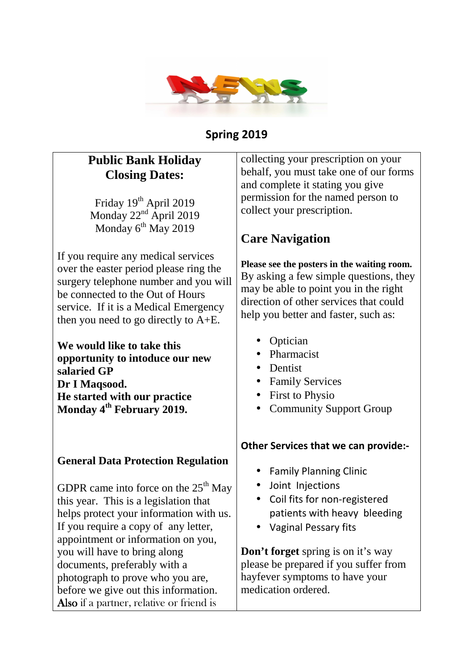

### **Spring 2019**

# **Public Bank Holiday Closing Dates:**

Friday 19<sup>th</sup> April 2019 Monday  $22<sup>nd</sup>$  April 2019 Monday  $6^{th}$  May 2019

If you require any medical services over the easter period please ring the surgery telephone number and you will be connected to the Out of Hours service. If it is a Medical Emergency then you need to go directly to A+E.

**We would like to take this opportunity to intoduce our new salaried GP Dr I Maqsood. He started with our practice Monday 4th February 2019.** 

#### **General Data Protection Regulation**

GDPR came into force on the  $25<sup>th</sup>$  May this year. This is a legislation that helps protect your information with us. If you require a copy of any letter, appointment or information on you, you will have to bring along documents, preferably with a photograph to prove who you are, before we give out this information. Also if a partner, relative or friend is

collecting your prescription on your behalf, you must take one of our forms and complete it stating you give permission for the named person to collect your prescription.

# **Care Navigation**

**Please see the posters in the waiting room.**  By asking a few simple questions, they may be able to point you in the right direction of other services that could help you better and faster, such as:

- Optician
- Pharmacist
- Dentist
- Family Services
- First to Physio
- Community Support Group

### **Other Services that we can provide:-**

- Family Planning Clinic
- Joint Injections
- Coil fits for non-registered patients with heavy bleeding
- Vaginal Pessary fits

**Don't forget** spring is on it's way please be prepared if you suffer from hayfever symptoms to have your medication ordered.